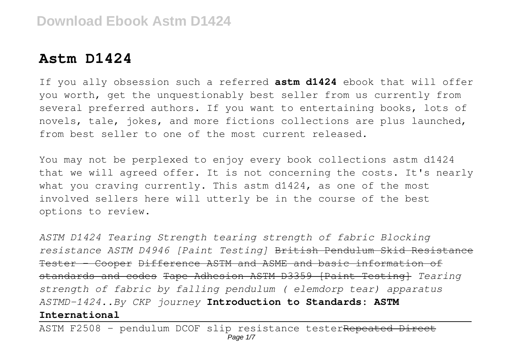## **Astm D1424**

If you ally obsession such a referred **astm d1424** ebook that will offer you worth, get the unquestionably best seller from us currently from several preferred authors. If you want to entertaining books, lots of novels, tale, jokes, and more fictions collections are plus launched, from best seller to one of the most current released.

You may not be perplexed to enjoy every book collections astm d1424 that we will agreed offer. It is not concerning the costs. It's nearly what you craving currently. This astm d1424, as one of the most involved sellers here will utterly be in the course of the best options to review.

*ASTM D1424 Tearing Strength tearing strength of fabric Blocking resistance ASTM D4946 [Paint Testing]* British Pendulum Skid Resistance Tester - Cooper Difference ASTM and ASME and basic information of standards and codes Tape Adhesion ASTM D3359 [Paint Testing] *Tearing strength of fabric by falling pendulum ( elemdorp tear) apparatus ASTMD-1424..By CKP journey* **Introduction to Standards: ASTM International**

ASTM F2508 - pendulum DCOF slip resistance testerRepeated Direct Page 1/7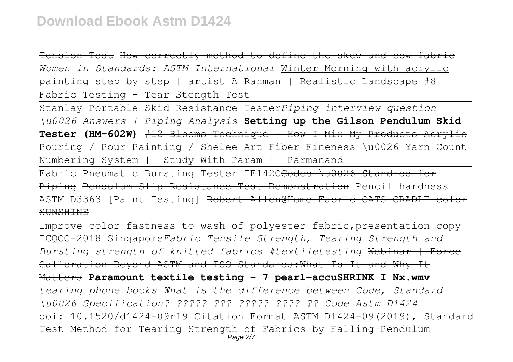Tension Test How correctly method to define the skew and bow fabric *Women in Standards: ASTM International* Winter Morning with acrylic painting step by step | artist A Rahman | Realistic Landscape #8

Fabric Testing - Tear Stength Test

Stanlay Portable Skid Resistance Tester*Piping interview question \u0026 Answers | Piping Analysis* **Setting up the Gilson Pendulum Skid Tester (HM-602W)** #12 Blooms Technique - How I Mix My Products Acrylic Pouring / Pour Painting / Shelee Art Fiber Fineness \u0026 Yarn Count Numbering System || Study With Param || Parmanand

Fabric Pneumatic Bursting Tester TF142C<del>Codes \u0026 Standrds for</del> Piping Pendulum Slip Resistance Test Demonstration Pencil hardness ASTM D3363 [Paint Testing] Robert Allen@Home Fabr **SUNSHINE** 

Improve color fastness to wash of polyester fabric,presentation copy ICQCC-2018 Singapore*Fabric Tensile Strength, Tearing Strength and Bursting strength of knitted fabrics #textiletesting* Webinar | Force Calibration Beyond ASTM and ISO Standards:What Is It and Why It Matters **Paramount textile testing - 7 pearl-accuSHRINK I Nx.wmv** *tearing phone books What is the difference between Code, Standard \u0026 Specification? ????? ??? ????? ???? ?? Code Astm D1424* doi: 10.1520/d1424-09r19 Citation Format ASTM D1424-09(2019), Standard Test Method for Tearing Strength of Fabrics by Falling-Pendulum Page 2/7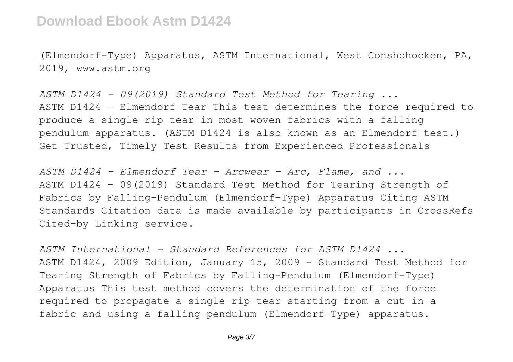(Elmendorf-Type) Apparatus, ASTM International, West Conshohocken, PA, 2019, www.astm.org

*ASTM D1424 - 09(2019) Standard Test Method for Tearing ...* ASTM D1424 - Elmendorf Tear This test determines the force required to produce a single-rip tear in most woven fabrics with a falling pendulum apparatus. (ASTM D1424 is also known as an Elmendorf test.) Get Trusted, Timely Test Results from Experienced Professionals

*ASTM D1424 - Elmendorf Tear - Arcwear - Arc, Flame, and ...* ASTM D1424 - 09(2019) Standard Test Method for Tearing Strength of Fabrics by Falling-Pendulum (Elmendorf-Type) Apparatus Citing ASTM Standards Citation data is made available by participants in CrossRefs Cited-by Linking service.

*ASTM International - Standard References for ASTM D1424 ...* ASTM D1424, 2009 Edition, January 15, 2009 - Standard Test Method for Tearing Strength of Fabrics by Falling-Pendulum (Elmendorf-Type) Apparatus This test method covers the determination of the force required to propagate a single-rip tear starting from a cut in a fabric and using a falling-pendulum (Elmendorf-Type) apparatus.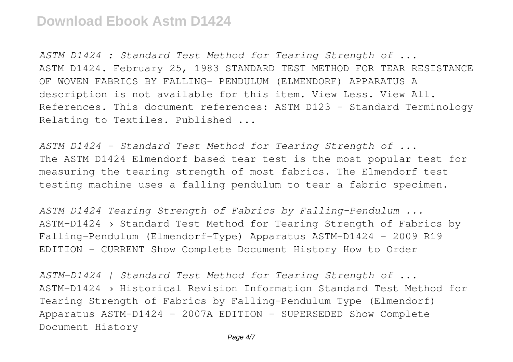*ASTM D1424 : Standard Test Method for Tearing Strength of ...* ASTM D1424. February 25, 1983 STANDARD TEST METHOD FOR TEAR RESISTANCE OF WOVEN FABRICS BY FALLING- PENDULUM (ELMENDORF) APPARATUS A description is not available for this item. View Less. View All. References. This document references: ASTM D123 - Standard Terminology Relating to Textiles. Published ...

*ASTM D1424 - Standard Test Method for Tearing Strength of ...* The ASTM D1424 Elmendorf based tear test is the most popular test for measuring the tearing strength of most fabrics. The Elmendorf test testing machine uses a falling pendulum to tear a fabric specimen.

*ASTM D1424 Tearing Strength of Fabrics by Falling-Pendulum ...* ASTM-D1424 › Standard Test Method for Tearing Strength of Fabrics by Falling-Pendulum (Elmendorf-Type) Apparatus ASTM-D1424 - 2009 R19 EDITION - CURRENT Show Complete Document History How to Order

*ASTM-D1424 | Standard Test Method for Tearing Strength of ...* ASTM-D1424 › Historical Revision Information Standard Test Method for Tearing Strength of Fabrics by Falling-Pendulum Type (Elmendorf) Apparatus ASTM-D1424 - 2007A EDITION - SUPERSEDED Show Complete Document History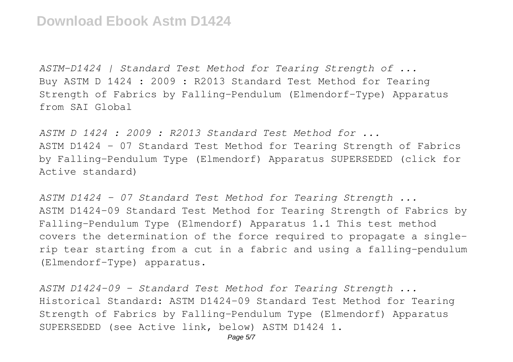*ASTM-D1424 | Standard Test Method for Tearing Strength of ...* Buy ASTM D 1424 : 2009 : R2013 Standard Test Method for Tearing Strength of Fabrics by Falling-Pendulum (Elmendorf-Type) Apparatus from SAI Global

*ASTM D 1424 : 2009 : R2013 Standard Test Method for ...* ASTM D1424 - 07 Standard Test Method for Tearing Strength of Fabrics by Falling-Pendulum Type (Elmendorf) Apparatus SUPERSEDED (click for Active standard)

*ASTM D1424 - 07 Standard Test Method for Tearing Strength ...* ASTM D1424-09 Standard Test Method for Tearing Strength of Fabrics by Falling-Pendulum Type (Elmendorf) Apparatus 1.1 This test method covers the determination of the force required to propagate a singlerip tear starting from a cut in a fabric and using a falling-pendulum (Elmendorf-Type) apparatus.

*ASTM D1424-09 - Standard Test Method for Tearing Strength ...* Historical Standard: ASTM D1424-09 Standard Test Method for Tearing Strength of Fabrics by Falling-Pendulum Type (Elmendorf) Apparatus SUPERSEDED (see Active link, below) ASTM D1424 1.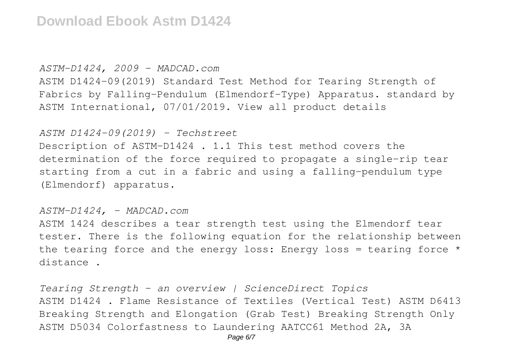#### *ASTM-D1424, 2009 - MADCAD.com*

ASTM D1424-09(2019) Standard Test Method for Tearing Strength of Fabrics by Falling-Pendulum (Elmendorf-Type) Apparatus. standard by ASTM International, 07/01/2019. View all product details

### *ASTM D1424-09(2019) - Techstreet*

Description of ASTM-D1424 . 1.1 This test method covers the determination of the force required to propagate a single-rip tear starting from a cut in a fabric and using a falling-pendulum type (Elmendorf) apparatus.

### *ASTM-D1424, - MADCAD.com*

ASTM 1424 describes a tear strength test using the Elmendorf tear tester. There is the following equation for the relationship between the tearing force and the energy loss: Energy loss = tearing force  $*$ distance .

*Tearing Strength - an overview | ScienceDirect Topics* ASTM D1424 . Flame Resistance of Textiles (Vertical Test) ASTM D6413 Breaking Strength and Elongation (Grab Test) Breaking Strength Only ASTM D5034 Colorfastness to Laundering AATCC61 Method 2A, 3A